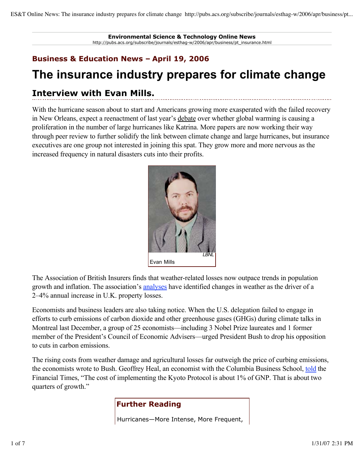**Environmental Science & Technology Online News** http://pubs.acs.org/subscribe/journals/esthag-w/2006/apr/business/pt\_insurance.html

## **Business & Education News – April 19, 2006**

# **The insurance industry prepares for climate change**

# **Interview with Evan Mills.**

With the hurricane season about to start and Americans growing more exasperated with the failed recovery in New Orleans, expect a reenactment of last year's debate over whether global warming is causing a proliferation in the number of large hurricanes like Katrina. More papers are now working their way through peer review to further solidify the link between climate change and large hurricanes, but insurance executives are one group not interested in joining this spat. They grow more and more nervous as the increased frequency in natural disasters cuts into their profits.



The Association of British Insurers finds that weather-related losses now outpace trends in population growth and inflation. The association's analyses have identified changes in weather as the driver of a 2–4% annual increase in U.K. property losses.

Economists and business leaders are also taking notice. When the U.S. delegation failed to engage in efforts to curb emissions of carbon dioxide and other greenhouse gases (GHGs) during climate talks in Montreal last December, a group of 25 economists—including 3 Nobel Prize laureates and 1 former member of the President's Council of Economic Advisers—urged President Bush to drop his opposition to cuts in carbon emissions.

The rising costs from weather damage and agricultural losses far outweigh the price of curbing emissions, the economists wrote to Bush. Geoffrey Heal, an economist with the Columbia Business School, told the Financial Times, "The cost of implementing the Kyoto Protocol is about 1% of GNP. That is about two quarters of growth."

## **Further Reading**

Hurricanes—More Intense, More Frequent,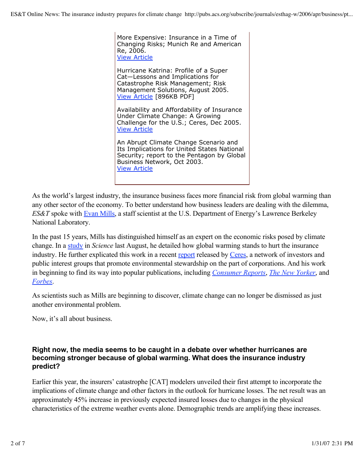More Expensive: Insurance in a Time of Changing Risks; Munich Re and American Re, 2006. View Article

Hurricane Katrina: Profile of a Super Cat—Lessons and Implications for Catastrophe Risk Management; Risk Management Solutions, August 2005. View Article [896KB PDF]

Availability and Affordability of Insurance Under Climate Change: A Growing Challenge for the U.S.; Ceres, Dec 2005. View Article

An Abrupt Climate Change Scenario and Its Implications for United States National Security; report to the Pentagon by Global Business Network, Oct 2003. View Article

As the world's largest industry, the insurance business faces more financial risk from global warming than any other sector of the economy. To better understand how business leaders are dealing with the dilemma, *ES&T* spoke with Evan Mills, a staff scientist at the U.S. Department of Energy's Lawrence Berkeley National Laboratory.

In the past 15 years, Mills has distinguished himself as an expert on the economic risks posed by climate change. In a study in *Science* last August, he detailed how global warming stands to hurt the insurance industry. He further explicated this work in a recent report released by Ceres, a network of investors and public interest groups that promote environmental stewardship on the part of corporations. And his work in beginning to find its way into popular publications, including *Consumer Reports*, *The New Yorker*, and *Forbes*.

As scientists such as Mills are beginning to discover, climate change can no longer be dismissed as just another environmental problem.

Now, it's all about business.

#### **Right now, the media seems to be caught in a debate over whether hurricanes are becoming stronger because of global warming. What does the insurance industry predict?**

Earlier this year, the insurers' catastrophe [CAT] modelers unveiled their first attempt to incorporate the implications of climate change and other factors in the outlook for hurricane losses. The net result was an approximately 45% increase in previously expected insured losses due to changes in the physical characteristics of the extreme weather events alone. Demographic trends are amplifying these increases.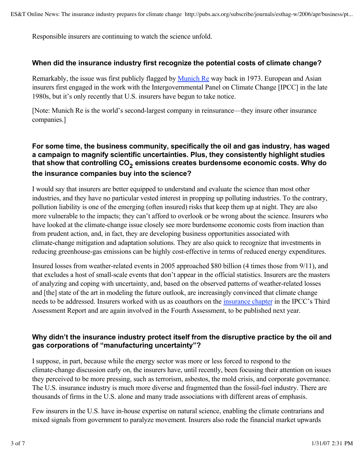Responsible insurers are continuing to watch the science unfold.

#### **When did the insurance industry first recognize the potential costs of climate change?**

Remarkably, the issue was first publicly flagged by Munich Re way back in 1973. European and Asian insurers first engaged in the work with the Intergovernmental Panel on Climate Change [IPCC] in the late 1980s, but it's only recently that U.S. insurers have begun to take notice.

[Note: Munich Re is the world's second-largest company in reinsurance—they insure other insurance companies.]

### **For some time, the business community, specifically the oil and gas industry, has waged a campaign to magnify scientific uncertainties. Plus, they consistently highlight studies**  that show that controlling CO<sub>2</sub> emissions creates burdensome economic costs. Why do **the insurance companies buy into the science?**

I would say that insurers are better equipped to understand and evaluate the science than most other industries, and they have no particular vested interest in propping up polluting industries. To the contrary, pollution liability is one of the emerging (often insured) risks that keep them up at night. They are also more vulnerable to the impacts; they can't afford to overlook or be wrong about the science. Insurers who have looked at the climate-change issue closely see more burdensome economic costs from inaction than from prudent action, and, in fact, they are developing business opportunities associated with climate-change mitigation and adaptation solutions. They are also quick to recognize that investments in reducing greenhouse-gas emissions can be highly cost-effective in terms of reduced energy expenditures.

Insured losses from weather-related events in 2005 approached \$80 billion (4 times those from 9/11), and that excludes a host of small-scale events that don't appear in the official statistics. Insurers are the masters of analyzing and coping with uncertainty, and, based on the observed patterns of weather-related losses and [the] state of the art in modeling the future outlook, are increasingly convinced that climate change needs to be addressed. Insurers worked with us as coauthors on the insurance chapter in the IPCC's Third Assessment Report and are again involved in the Fourth Assessment, to be published next year.

#### **Why didn't the insurance industry protect itself from the disruptive practice by the oil and gas corporations of "manufacturing uncertainty"?**

I suppose, in part, because while the energy sector was more or less forced to respond to the climate-change discussion early on, the insurers have, until recently, been focusing their attention on issues they perceived to be more pressing, such as terrorism, asbestos, the mold crisis, and corporate governance. The U.S. insurance industry is much more diverse and fragmented than the fossil-fuel industry. There are thousands of firms in the U.S. alone and many trade associations with different areas of emphasis.

Few insurers in the U.S. have in-house expertise on natural science, enabling the climate contrarians and mixed signals from government to paralyze movement. Insurers also rode the financial market upwards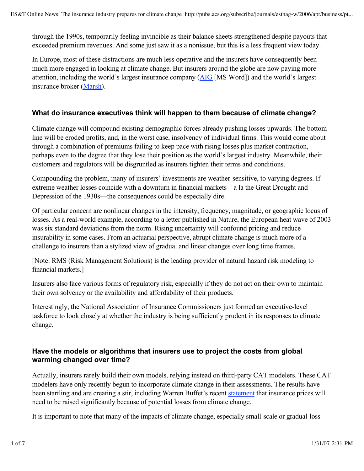through the 1990s, temporarily feeling invincible as their balance sheets strengthened despite payouts that exceeded premium revenues. And some just saw it as a nonissue, but this is a less frequent view today.

In Europe, most of these distractions are much less operative and the insurers have consequently been much more engaged in looking at climate change. But insurers around the globe are now paying more attention, including the world's largest insurance company (AIG [MS Word]) and the world's largest insurance broker (Marsh).

#### **What do insurance executives think will happen to them because of climate change?**

Climate change will compound existing demographic forces already pushing losses upwards. The bottom line will be eroded profits, and, in the worst case, insolvency of individual firms. This would come about through a combination of premiums failing to keep pace with rising losses plus market contraction, perhaps even to the degree that they lose their position as the world's largest industry. Meanwhile, their customers and regulators will be disgruntled as insurers tighten their terms and conditions.

Compounding the problem, many of insurers' investments are weather-sensitive, to varying degrees. If extreme weather losses coincide with a downturn in financial markets—a la the Great Drought and Depression of the 1930s—the consequences could be especially dire.

Of particular concern are nonlinear changes in the intensity, frequency, magnitude, or geographic locus of losses. As a real-world example, according to a letter published in Nature, the European heat wave of 2003 was six standard deviations from the norm. Rising uncertainty will confound pricing and reduce insurability in some cases. From an actuarial perspective, abrupt climate change is much more of a challenge to insurers than a stylized view of gradual and linear changes over long time frames.

[Note: RMS (Risk Management Solutions) is the leading provider of natural hazard risk modeling to financial markets.]

Insurers also face various forms of regulatory risk, especially if they do not act on their own to maintain their own solvency or the availability and affordability of their products.

Interestingly, the National Association of Insurance Commissioners just formed an executive-level taskforce to look closely at whether the industry is being sufficiently prudent in its responses to climate change.

#### **Have the models or algorithms that insurers use to project the costs from global warming changed over time?**

Actually, insurers rarely build their own models, relying instead on third-party CAT modelers. These CAT modelers have only recently begun to incorporate climate change in their assessments. The results have been startling and are creating a stir, including Warren Buffet's recent statement that insurance prices will need to be raised significantly because of potential losses from climate change.

It is important to note that many of the impacts of climate change, especially small-scale or gradual-loss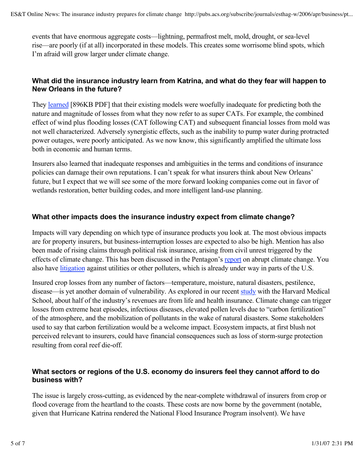events that have enormous aggregate costs—lightning, permafrost melt, mold, drought, or sea-level rise—are poorly (if at all) incorporated in these models. This creates some worrisome blind spots, which I'm afraid will grow larger under climate change.

#### **What did the insurance industry learn from Katrina, and what do they fear will happen to New Orleans in the future?**

They **learned** [896KB PDF] that their existing models were woefully inadequate for predicting both the nature and magnitude of losses from what they now refer to as super CATs. For example, the combined effect of wind plus flooding losses (CAT following CAT) and subsequent financial losses from mold was not well characterized. Adversely synergistic effects, such as the inability to pump water during protracted power outages, were poorly anticipated. As we now know, this significantly amplified the ultimate loss both in economic and human terms.

Insurers also learned that inadequate responses and ambiguities in the terms and conditions of insurance policies can damage their own reputations. I can't speak for what insurers think about New Orleans' future, but I expect that we will see some of the more forward looking companies come out in favor of wetlands restoration, better building codes, and more intelligent land-use planning.

#### **What other impacts does the insurance industry expect from climate change?**

Impacts will vary depending on which type of insurance products you look at. The most obvious impacts are for property insurers, but business-interruption losses are expected to also be high. Mention has also been made of rising claims through political risk insurance, arising from civil unrest triggered by the effects of climate change. This has been discussed in the Pentagon's report on abrupt climate change. You also have litigation against utilities or other polluters, which is already under way in parts of the U.S.

Insured crop losses from any number of factors—temperature, moisture, natural disasters, pestilence, disease—is yet another domain of vulnerability. As explored in our recent study with the Harvard Medical School, about half of the industry's revenues are from life and health insurance. Climate change can trigger losses from extreme heat episodes, infectious diseases, elevated pollen levels due to "carbon fertilization" of the atmosphere, and the mobilization of pollutants in the wake of natural disasters. Some stakeholders used to say that carbon fertilization would be a welcome impact. Ecosystem impacts, at first blush not perceived relevant to insurers, could have financial consequences such as loss of storm-surge protection resulting from coral reef die-off.

#### **What sectors or regions of the U.S. economy do insurers feel they cannot afford to do business with?**

The issue is largely cross-cutting, as evidenced by the near-complete withdrawal of insurers from crop or flood coverage from the heartland to the coasts. These costs are now borne by the government (notable, given that Hurricane Katrina rendered the National Flood Insurance Program insolvent). We have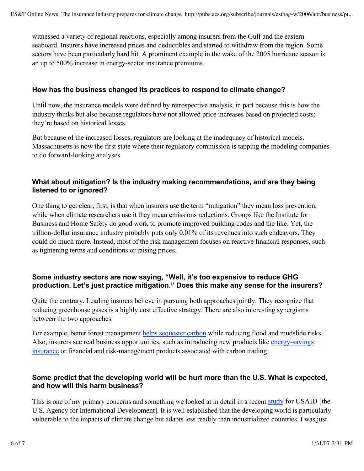witnessed a variety of regional reactions, especially among insurers from the Gulf and the eastern seaboard. Insurers have increased prices and deductibles and started to withdraw from the region. Some sectors have been particularly hard hit. A prominent example in the wake of the 2005 hurricane season is an up to 500% increase in energy-sector insurance premiums.

#### **How has the business changed its practices to respond to climate change?**

Until now, the insurance models were defined by retrospective analysis, in part because this is how the industry thinks but also because regulators have not allowed price increases based on projected costs; they're based on historical losses.

But because of the increased losses, regulators are looking at the inadequacy of historical models. Massachusetts is now the first state where their regulatory commission is tapping the modeling companies to do forward-looking analyses.

#### **What about mitigation? Is the industry making recommendations, and are they being listened to or ignored?**

One thing to get clear, first, is that when insurers use the term "mitigation" they mean loss prevention, while when climate researchers use it they mean emissions reductions. Groups like the Institute for Business and Home Safety do good work to promote improved building codes and the like. Yet, the trillion-dollar insurance industry probably puts only 0.01% of its revenues into such endeavors. They could do much more. Instead, most of the risk management focuses on reactive financial responses, such as tightening terms and conditions or raising prices.

#### **Some industry sectors are now saying, "Well, it's too expensive to reduce GHG production. Let's just practice mitigation." Does this make any sense for the insurers?**

Quite the contrary. Leading insurers believe in pursuing both approaches jointly. They recognize that reducing greenhouse gases is a highly cost effective strategy. There are also interesting synergisms between the two approaches.

For example, better forest management helps sequester carbon while reducing flood and mudslide risks. Also, insurers see real business opportunities, such as introducing new products like energy-savings insurance or financial and risk-management products associated with carbon trading.

#### **Some predict that the developing world will be hurt more than the U.S. What is expected, and how will this harm business?**

This is one of my primary concerns and something we looked at in detail in a recent study for USAID [the U.S. Agency for International Development]. It is well established that the developing world is particularly vulnerable to the impacts of climate change but adapts less readily than industrialized countries. I was just